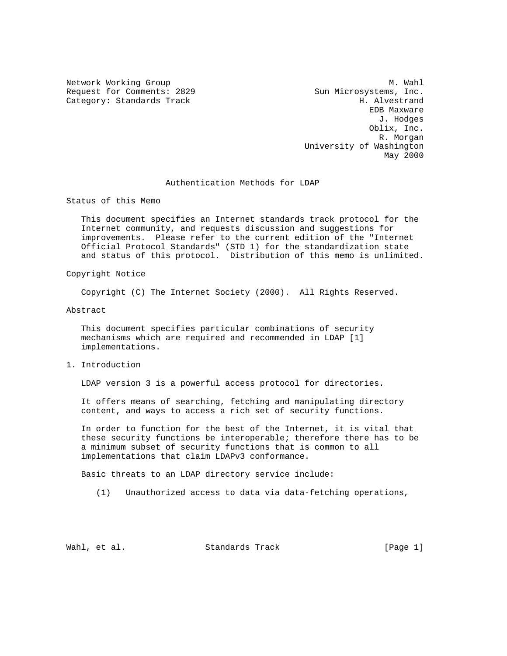Request for Comments: 2829 Sun Microsystems, Inc. Category: Standards Track H. Alvestrand

Network Working Group Methods and Muslim Methods and Muslim Muslim Muslim Muslim Muslim Muslim Muslim Muslim Mu EDB Maxware J. Hodges Oblix, Inc. R. Morgan University of Washington May 2000

#### Authentication Methods for LDAP

Status of this Memo

 This document specifies an Internet standards track protocol for the Internet community, and requests discussion and suggestions for improvements. Please refer to the current edition of the "Internet Official Protocol Standards" (STD 1) for the standardization state and status of this protocol. Distribution of this memo is unlimited.

## Copyright Notice

Copyright (C) The Internet Society (2000). All Rights Reserved.

Abstract

 This document specifies particular combinations of security mechanisms which are required and recommended in LDAP [1] implementations.

### 1. Introduction

LDAP version 3 is a powerful access protocol for directories.

 It offers means of searching, fetching and manipulating directory content, and ways to access a rich set of security functions.

 In order to function for the best of the Internet, it is vital that these security functions be interoperable; therefore there has to be a minimum subset of security functions that is common to all implementations that claim LDAPv3 conformance.

Basic threats to an LDAP directory service include:

(1) Unauthorized access to data via data-fetching operations,

Wahl, et al. Standards Track [Page 1]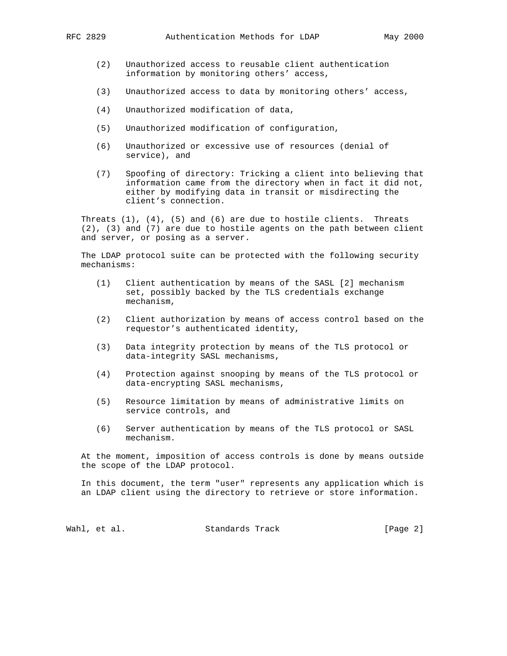- (2) Unauthorized access to reusable client authentication information by monitoring others' access,
- (3) Unauthorized access to data by monitoring others' access,
- (4) Unauthorized modification of data,
- (5) Unauthorized modification of configuration,
- (6) Unauthorized or excessive use of resources (denial of service), and
- (7) Spoofing of directory: Tricking a client into believing that information came from the directory when in fact it did not, either by modifying data in transit or misdirecting the client's connection.

Threats  $(1)$ ,  $(4)$ ,  $(5)$  and  $(6)$  are due to hostile clients. Threats (2), (3) and (7) are due to hostile agents on the path between client and server, or posing as a server.

 The LDAP protocol suite can be protected with the following security mechanisms:

- (1) Client authentication by means of the SASL [2] mechanism set, possibly backed by the TLS credentials exchange mechanism,
- (2) Client authorization by means of access control based on the requestor's authenticated identity,
- (3) Data integrity protection by means of the TLS protocol or data-integrity SASL mechanisms,
- (4) Protection against snooping by means of the TLS protocol or data-encrypting SASL mechanisms,
- (5) Resource limitation by means of administrative limits on service controls, and
- (6) Server authentication by means of the TLS protocol or SASL mechanism.

 At the moment, imposition of access controls is done by means outside the scope of the LDAP protocol.

 In this document, the term "user" represents any application which is an LDAP client using the directory to retrieve or store information.

Wahl, et al. Standards Track [Page 2]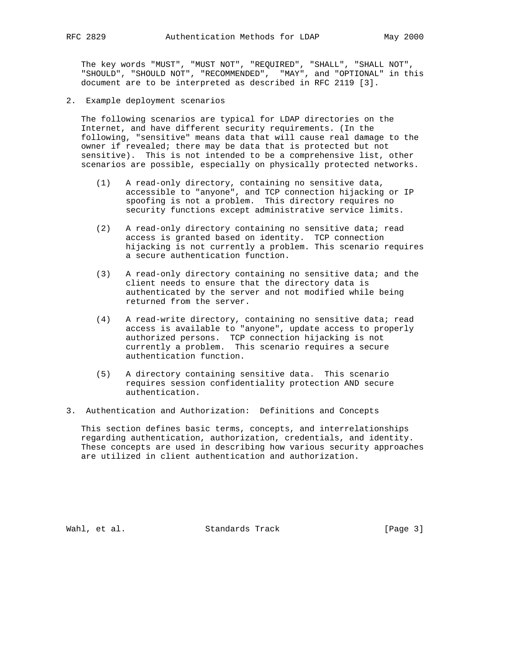The key words "MUST", "MUST NOT", "REQUIRED", "SHALL", "SHALL NOT", "SHOULD", "SHOULD NOT", "RECOMMENDED", "MAY", and "OPTIONAL" in this document are to be interpreted as described in RFC 2119 [3].

2. Example deployment scenarios

 The following scenarios are typical for LDAP directories on the Internet, and have different security requirements. (In the following, "sensitive" means data that will cause real damage to the owner if revealed; there may be data that is protected but not sensitive). This is not intended to be a comprehensive list, other scenarios are possible, especially on physically protected networks.

- (1) A read-only directory, containing no sensitive data, accessible to "anyone", and TCP connection hijacking or IP spoofing is not a problem. This directory requires no security functions except administrative service limits.
- (2) A read-only directory containing no sensitive data; read access is granted based on identity. TCP connection hijacking is not currently a problem. This scenario requires a secure authentication function.
- (3) A read-only directory containing no sensitive data; and the client needs to ensure that the directory data is authenticated by the server and not modified while being returned from the server.
- (4) A read-write directory, containing no sensitive data; read access is available to "anyone", update access to properly authorized persons. TCP connection hijacking is not currently a problem. This scenario requires a secure authentication function.
	- (5) A directory containing sensitive data. This scenario requires session confidentiality protection AND secure authentication.
- 3. Authentication and Authorization: Definitions and Concepts

 This section defines basic terms, concepts, and interrelationships regarding authentication, authorization, credentials, and identity. These concepts are used in describing how various security approaches are utilized in client authentication and authorization.

Wahl, et al. Standards Track [Page 3]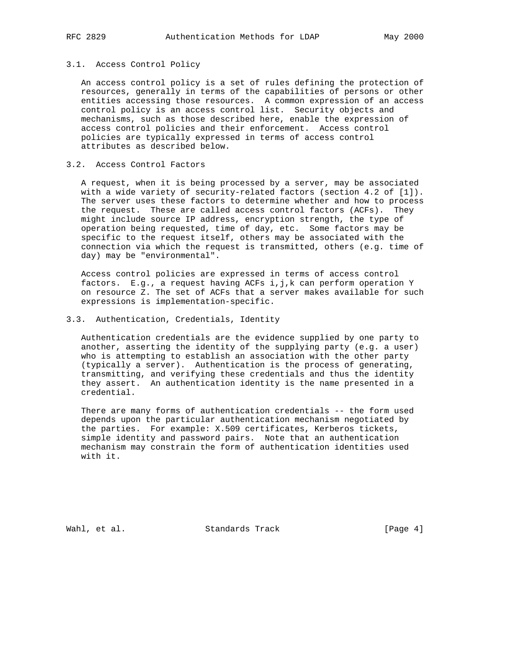# 3.1. Access Control Policy

 An access control policy is a set of rules defining the protection of resources, generally in terms of the capabilities of persons or other entities accessing those resources. A common expression of an access control policy is an access control list. Security objects and mechanisms, such as those described here, enable the expression of access control policies and their enforcement. Access control policies are typically expressed in terms of access control attributes as described below.

### 3.2. Access Control Factors

 A request, when it is being processed by a server, may be associated with a wide variety of security-related factors (section 4.2 of [1]). The server uses these factors to determine whether and how to process the request. These are called access control factors (ACFs). They might include source IP address, encryption strength, the type of operation being requested, time of day, etc. Some factors may be specific to the request itself, others may be associated with the connection via which the request is transmitted, others (e.g. time of day) may be "environmental".

 Access control policies are expressed in terms of access control factors. E.g., a request having ACFs i,j,k can perform operation Y on resource Z. The set of ACFs that a server makes available for such expressions is implementation-specific.

# 3.3. Authentication, Credentials, Identity

 Authentication credentials are the evidence supplied by one party to another, asserting the identity of the supplying party (e.g. a user) who is attempting to establish an association with the other party (typically a server). Authentication is the process of generating, transmitting, and verifying these credentials and thus the identity they assert. An authentication identity is the name presented in a credential.

 There are many forms of authentication credentials -- the form used depends upon the particular authentication mechanism negotiated by the parties. For example: X.509 certificates, Kerberos tickets, simple identity and password pairs. Note that an authentication mechanism may constrain the form of authentication identities used with it.

Wahl, et al. Standards Track [Page 4]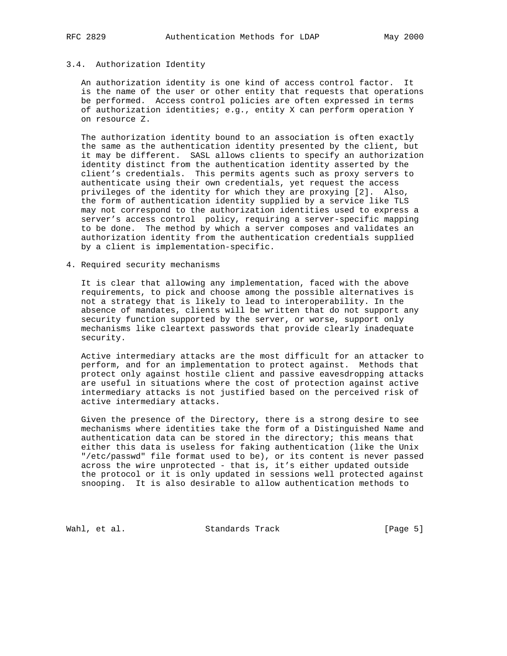# 3.4. Authorization Identity

 An authorization identity is one kind of access control factor. It is the name of the user or other entity that requests that operations be performed. Access control policies are often expressed in terms of authorization identities; e.g., entity X can perform operation Y on resource Z.

 The authorization identity bound to an association is often exactly the same as the authentication identity presented by the client, but it may be different. SASL allows clients to specify an authorization identity distinct from the authentication identity asserted by the client's credentials. This permits agents such as proxy servers to authenticate using their own credentials, yet request the access privileges of the identity for which they are proxying [2]. Also, the form of authentication identity supplied by a service like TLS may not correspond to the authorization identities used to express a server's access control policy, requiring a server-specific mapping to be done. The method by which a server composes and validates an authorization identity from the authentication credentials supplied by a client is implementation-specific.

4. Required security mechanisms

 It is clear that allowing any implementation, faced with the above requirements, to pick and choose among the possible alternatives is not a strategy that is likely to lead to interoperability. In the absence of mandates, clients will be written that do not support any security function supported by the server, or worse, support only mechanisms like cleartext passwords that provide clearly inadequate security.

 Active intermediary attacks are the most difficult for an attacker to perform, and for an implementation to protect against. Methods that protect only against hostile client and passive eavesdropping attacks are useful in situations where the cost of protection against active intermediary attacks is not justified based on the perceived risk of active intermediary attacks.

 Given the presence of the Directory, there is a strong desire to see mechanisms where identities take the form of a Distinguished Name and authentication data can be stored in the directory; this means that either this data is useless for faking authentication (like the Unix "/etc/passwd" file format used to be), or its content is never passed across the wire unprotected - that is, it's either updated outside the protocol or it is only updated in sessions well protected against snooping. It is also desirable to allow authentication methods to

Wahl, et al. Standards Track [Page 5]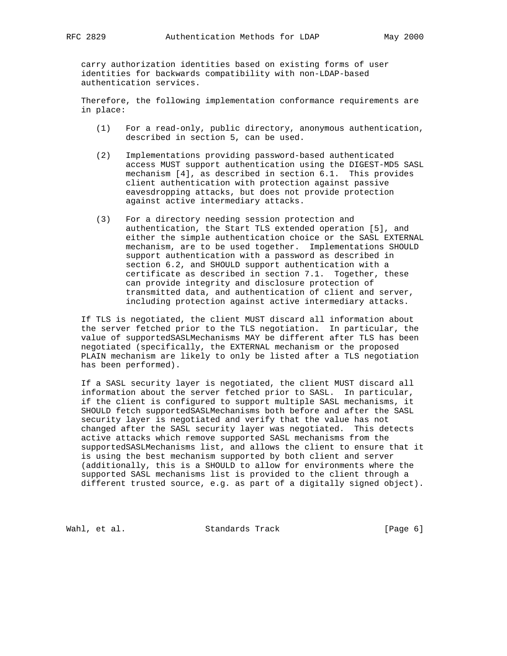carry authorization identities based on existing forms of user identities for backwards compatibility with non-LDAP-based authentication services.

 Therefore, the following implementation conformance requirements are in place:

- (1) For a read-only, public directory, anonymous authentication, described in section 5, can be used.
- (2) Implementations providing password-based authenticated access MUST support authentication using the DIGEST-MD5 SASL mechanism [4], as described in section 6.1. This provides client authentication with protection against passive eavesdropping attacks, but does not provide protection against active intermediary attacks.
- (3) For a directory needing session protection and authentication, the Start TLS extended operation [5], and either the simple authentication choice or the SASL EXTERNAL mechanism, are to be used together. Implementations SHOULD support authentication with a password as described in section 6.2, and SHOULD support authentication with a certificate as described in section 7.1. Together, these can provide integrity and disclosure protection of transmitted data, and authentication of client and server, including protection against active intermediary attacks.

 If TLS is negotiated, the client MUST discard all information about the server fetched prior to the TLS negotiation. In particular, the value of supportedSASLMechanisms MAY be different after TLS has been negotiated (specifically, the EXTERNAL mechanism or the proposed PLAIN mechanism are likely to only be listed after a TLS negotiation has been performed).

 If a SASL security layer is negotiated, the client MUST discard all information about the server fetched prior to SASL. In particular, if the client is configured to support multiple SASL mechanisms, it SHOULD fetch supportedSASLMechanisms both before and after the SASL security layer is negotiated and verify that the value has not changed after the SASL security layer was negotiated. This detects active attacks which remove supported SASL mechanisms from the supportedSASLMechanisms list, and allows the client to ensure that it is using the best mechanism supported by both client and server (additionally, this is a SHOULD to allow for environments where the supported SASL mechanisms list is provided to the client through a different trusted source, e.g. as part of a digitally signed object).

Wahl, et al. Standards Track [Page 6]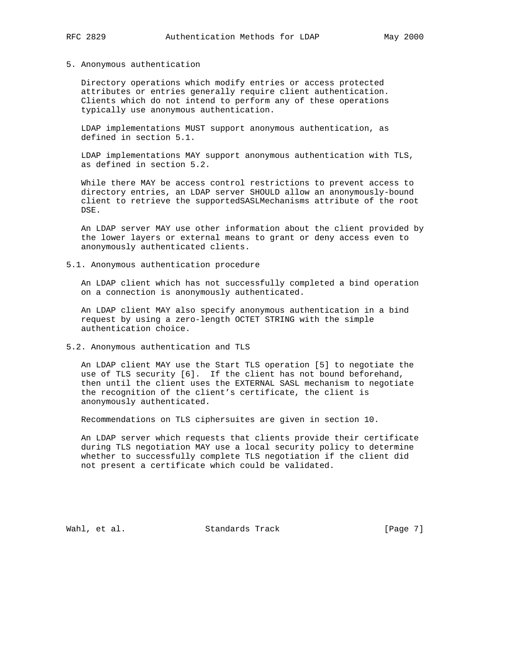#### 5. Anonymous authentication

 Directory operations which modify entries or access protected attributes or entries generally require client authentication. Clients which do not intend to perform any of these operations typically use anonymous authentication.

 LDAP implementations MUST support anonymous authentication, as defined in section 5.1.

 LDAP implementations MAY support anonymous authentication with TLS, as defined in section 5.2.

 While there MAY be access control restrictions to prevent access to directory entries, an LDAP server SHOULD allow an anonymously-bound client to retrieve the supportedSASLMechanisms attribute of the root DSE.

 An LDAP server MAY use other information about the client provided by the lower layers or external means to grant or deny access even to anonymously authenticated clients.

5.1. Anonymous authentication procedure

 An LDAP client which has not successfully completed a bind operation on a connection is anonymously authenticated.

 An LDAP client MAY also specify anonymous authentication in a bind request by using a zero-length OCTET STRING with the simple authentication choice.

5.2. Anonymous authentication and TLS

 An LDAP client MAY use the Start TLS operation [5] to negotiate the use of TLS security [6]. If the client has not bound beforehand, then until the client uses the EXTERNAL SASL mechanism to negotiate the recognition of the client's certificate, the client is anonymously authenticated.

Recommendations on TLS ciphersuites are given in section 10.

 An LDAP server which requests that clients provide their certificate during TLS negotiation MAY use a local security policy to determine whether to successfully complete TLS negotiation if the client did not present a certificate which could be validated.

Wahl, et al. Standards Track [Page 7]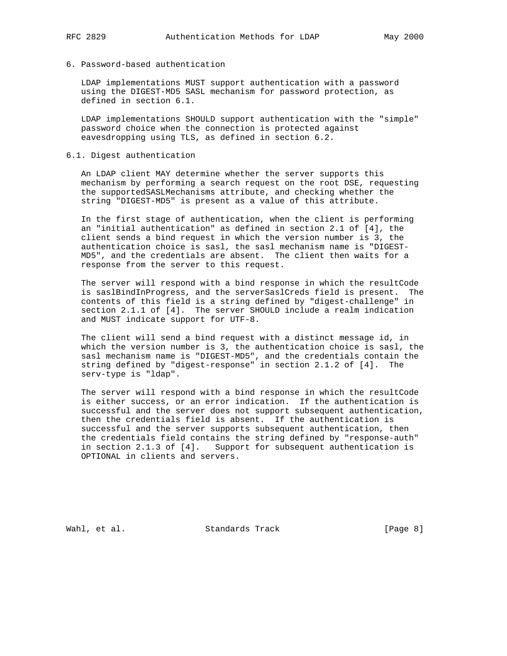# 6. Password-based authentication

 LDAP implementations MUST support authentication with a password using the DIGEST-MD5 SASL mechanism for password protection, as defined in section 6.1.

 LDAP implementations SHOULD support authentication with the "simple" password choice when the connection is protected against eavesdropping using TLS, as defined in section 6.2.

# 6.1. Digest authentication

 An LDAP client MAY determine whether the server supports this mechanism by performing a search request on the root DSE, requesting the supportedSASLMechanisms attribute, and checking whether the string "DIGEST-MD5" is present as a value of this attribute.

 In the first stage of authentication, when the client is performing an "initial authentication" as defined in section 2.1 of [4], the client sends a bind request in which the version number is 3, the authentication choice is sasl, the sasl mechanism name is "DIGEST- MD5", and the credentials are absent. The client then waits for a response from the server to this request.

 The server will respond with a bind response in which the resultCode is saslBindInProgress, and the serverSaslCreds field is present. The contents of this field is a string defined by "digest-challenge" in section 2.1.1 of [4]. The server SHOULD include a realm indication and MUST indicate support for UTF-8.

 The client will send a bind request with a distinct message id, in which the version number is 3, the authentication choice is sasl, the sasl mechanism name is "DIGEST-MD5", and the credentials contain the string defined by "digest-response" in section 2.1.2 of [4]. The serv-type is "ldap".

 The server will respond with a bind response in which the resultCode is either success, or an error indication. If the authentication is successful and the server does not support subsequent authentication, then the credentials field is absent. If the authentication is successful and the server supports subsequent authentication, then the credentials field contains the string defined by "response-auth" in section 2.1.3 of [4]. Support for subsequent authentication is OPTIONAL in clients and servers.

Wahl, et al. Standards Track [Page 8]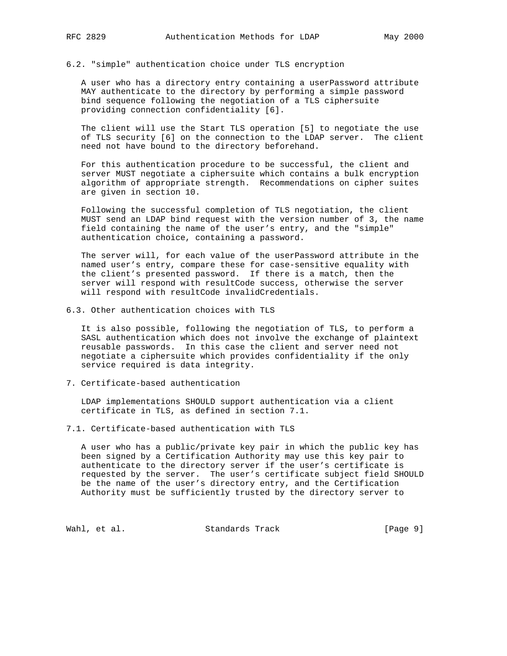# 6.2. "simple" authentication choice under TLS encryption

 A user who has a directory entry containing a userPassword attribute MAY authenticate to the directory by performing a simple password bind sequence following the negotiation of a TLS ciphersuite providing connection confidentiality [6].

 The client will use the Start TLS operation [5] to negotiate the use of TLS security [6] on the connection to the LDAP server. The client need not have bound to the directory beforehand.

 For this authentication procedure to be successful, the client and server MUST negotiate a ciphersuite which contains a bulk encryption algorithm of appropriate strength. Recommendations on cipher suites are given in section 10.

 Following the successful completion of TLS negotiation, the client MUST send an LDAP bind request with the version number of 3, the name field containing the name of the user's entry, and the "simple" authentication choice, containing a password.

 The server will, for each value of the userPassword attribute in the named user's entry, compare these for case-sensitive equality with the client's presented password. If there is a match, then the server will respond with resultCode success, otherwise the server will respond with resultCode invalidCredentials.

6.3. Other authentication choices with TLS

 It is also possible, following the negotiation of TLS, to perform a SASL authentication which does not involve the exchange of plaintext reusable passwords. In this case the client and server need not negotiate a ciphersuite which provides confidentiality if the only service required is data integrity.

7. Certificate-based authentication

 LDAP implementations SHOULD support authentication via a client certificate in TLS, as defined in section 7.1.

7.1. Certificate-based authentication with TLS

 A user who has a public/private key pair in which the public key has been signed by a Certification Authority may use this key pair to authenticate to the directory server if the user's certificate is requested by the server. The user's certificate subject field SHOULD be the name of the user's directory entry, and the Certification Authority must be sufficiently trusted by the directory server to

Wahl, et al. Standards Track [Page 9]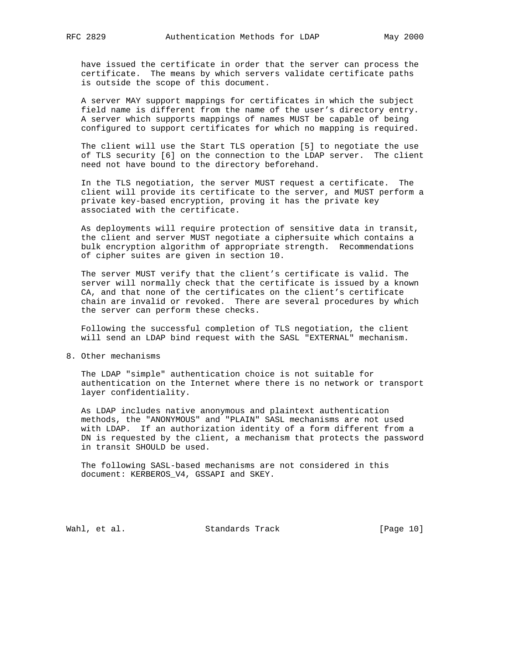have issued the certificate in order that the server can process the

 certificate. The means by which servers validate certificate paths is outside the scope of this document.

 A server MAY support mappings for certificates in which the subject field name is different from the name of the user's directory entry. A server which supports mappings of names MUST be capable of being configured to support certificates for which no mapping is required.

 The client will use the Start TLS operation [5] to negotiate the use of TLS security [6] on the connection to the LDAP server. The client need not have bound to the directory beforehand.

 In the TLS negotiation, the server MUST request a certificate. The client will provide its certificate to the server, and MUST perform a private key-based encryption, proving it has the private key associated with the certificate.

 As deployments will require protection of sensitive data in transit, the client and server MUST negotiate a ciphersuite which contains a bulk encryption algorithm of appropriate strength. Recommendations of cipher suites are given in section 10.

 The server MUST verify that the client's certificate is valid. The server will normally check that the certificate is issued by a known CA, and that none of the certificates on the client's certificate chain are invalid or revoked. There are several procedures by which the server can perform these checks.

 Following the successful completion of TLS negotiation, the client will send an LDAP bind request with the SASL "EXTERNAL" mechanism.

8. Other mechanisms

 The LDAP "simple" authentication choice is not suitable for authentication on the Internet where there is no network or transport layer confidentiality.

 As LDAP includes native anonymous and plaintext authentication methods, the "ANONYMOUS" and "PLAIN" SASL mechanisms are not used with LDAP. If an authorization identity of a form different from a DN is requested by the client, a mechanism that protects the password in transit SHOULD be used.

 The following SASL-based mechanisms are not considered in this document: KERBEROS\_V4, GSSAPI and SKEY.

Wahl, et al. Standards Track [Page 10]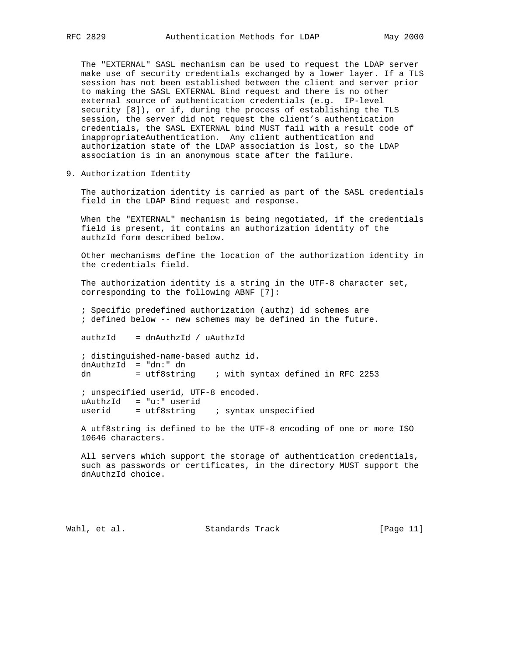The "EXTERNAL" SASL mechanism can be used to request the LDAP server make use of security credentials exchanged by a lower layer. If a TLS session has not been established between the client and server prior to making the SASL EXTERNAL Bind request and there is no other external source of authentication credentials (e.g. IP-level security [8]), or if, during the process of establishing the TLS session, the server did not request the client's authentication credentials, the SASL EXTERNAL bind MUST fail with a result code of inappropriateAuthentication. Any client authentication and authorization state of the LDAP association is lost, so the LDAP association is in an anonymous state after the failure.

9. Authorization Identity

 The authorization identity is carried as part of the SASL credentials field in the LDAP Bind request and response.

 When the "EXTERNAL" mechanism is being negotiated, if the credentials field is present, it contains an authorization identity of the authzId form described below.

 Other mechanisms define the location of the authorization identity in the credentials field.

 The authorization identity is a string in the UTF-8 character set, corresponding to the following ABNF [7]:

 ; Specific predefined authorization (authz) id schemes are ; defined below -- new schemes may be defined in the future.

authzId = dnAuthzId / uAuthzId

 ; distinguished-name-based authz id. dnAuthzId = "dn:" dn dn = utf8string ; with syntax defined in RFC 2253

 ; unspecified userid, UTF-8 encoded. uAuthzId = "u:" userid userid  $=$  utf8string  $\qquad$ ; syntax unspecified

 A utf8string is defined to be the UTF-8 encoding of one or more ISO 10646 characters.

 All servers which support the storage of authentication credentials, such as passwords or certificates, in the directory MUST support the dnAuthzId choice.

Wahl, et al. Standards Track [Page 11]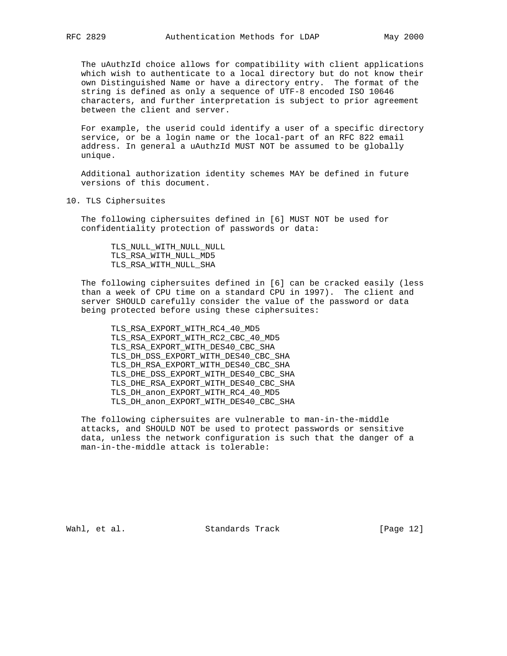The uAuthzId choice allows for compatibility with client applications which wish to authenticate to a local directory but do not know their own Distinguished Name or have a directory entry. The format of the string is defined as only a sequence of UTF-8 encoded ISO 10646 characters, and further interpretation is subject to prior agreement between the client and server.

 For example, the userid could identify a user of a specific directory service, or be a login name or the local-part of an RFC 822 email address. In general a uAuthzId MUST NOT be assumed to be globally unique.

 Additional authorization identity schemes MAY be defined in future versions of this document.

10. TLS Ciphersuites

 The following ciphersuites defined in [6] MUST NOT be used for confidentiality protection of passwords or data:

 TLS\_NULL\_WITH\_NULL\_NULL TLS\_RSA\_WITH\_NULL\_MD5 TLS\_RSA\_WITH\_NULL\_SHA

 The following ciphersuites defined in [6] can be cracked easily (less than a week of CPU time on a standard CPU in 1997). The client and server SHOULD carefully consider the value of the password or data being protected before using these ciphersuites:

 TLS\_RSA\_EXPORT\_WITH\_RC4\_40\_MD5 TLS\_RSA\_EXPORT\_WITH\_RC2\_CBC\_40\_MD5 TLS\_RSA\_EXPORT\_WITH\_DES40\_CBC\_SHA TLS\_DH\_DSS\_EXPORT\_WITH\_DES40\_CBC\_SHA TLS\_DH\_RSA\_EXPORT\_WITH\_DES40\_CBC\_SHA TLS\_DHE\_DSS\_EXPORT\_WITH\_DES40\_CBC\_SHA TLS\_DHE\_RSA\_EXPORT\_WITH\_DES40\_CBC\_SHA TLS\_DH\_anon\_EXPORT\_WITH\_RC4\_40\_MD5 TLS\_DH\_anon\_EXPORT\_WITH\_DES40\_CBC\_SHA

 The following ciphersuites are vulnerable to man-in-the-middle attacks, and SHOULD NOT be used to protect passwords or sensitive data, unless the network configuration is such that the danger of a man-in-the-middle attack is tolerable:

Wahl, et al. Standards Track [Page 12]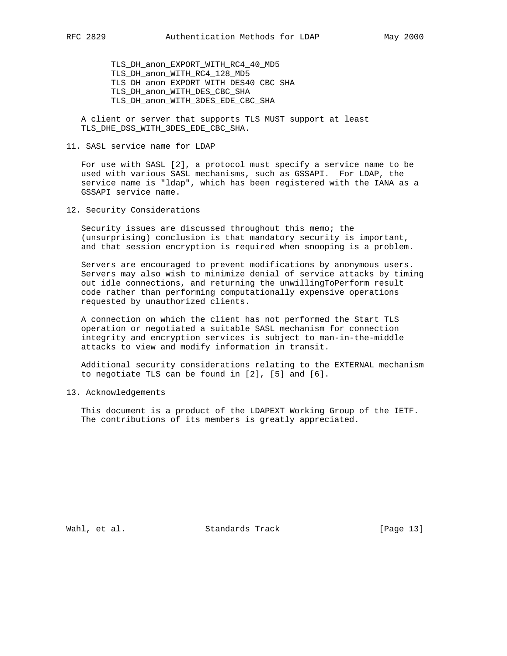TLS\_DH\_anon\_EXPORT\_WITH\_RC4\_40\_MD5 TLS\_DH\_anon\_WITH\_RC4\_128\_MD5 TLS\_DH\_anon\_EXPORT\_WITH\_DES40\_CBC\_SHA TLS\_DH\_anon\_WITH\_DES\_CBC\_SHA TLS\_DH\_anon\_WITH\_3DES\_EDE\_CBC\_SHA

 A client or server that supports TLS MUST support at least TLS\_DHE\_DSS\_WITH\_3DES\_EDE\_CBC\_SHA.

11. SASL service name for LDAP

 For use with SASL [2], a protocol must specify a service name to be used with various SASL mechanisms, such as GSSAPI. For LDAP, the service name is "ldap", which has been registered with the IANA as a GSSAPI service name.

12. Security Considerations

 Security issues are discussed throughout this memo; the (unsurprising) conclusion is that mandatory security is important, and that session encryption is required when snooping is a problem.

 Servers are encouraged to prevent modifications by anonymous users. Servers may also wish to minimize denial of service attacks by timing out idle connections, and returning the unwillingToPerform result code rather than performing computationally expensive operations requested by unauthorized clients.

 A connection on which the client has not performed the Start TLS operation or negotiated a suitable SASL mechanism for connection integrity and encryption services is subject to man-in-the-middle attacks to view and modify information in transit.

 Additional security considerations relating to the EXTERNAL mechanism to negotiate TLS can be found in [2], [5] and [6].

13. Acknowledgements

 This document is a product of the LDAPEXT Working Group of the IETF. The contributions of its members is greatly appreciated.

Wahl, et al. Standards Track [Page 13]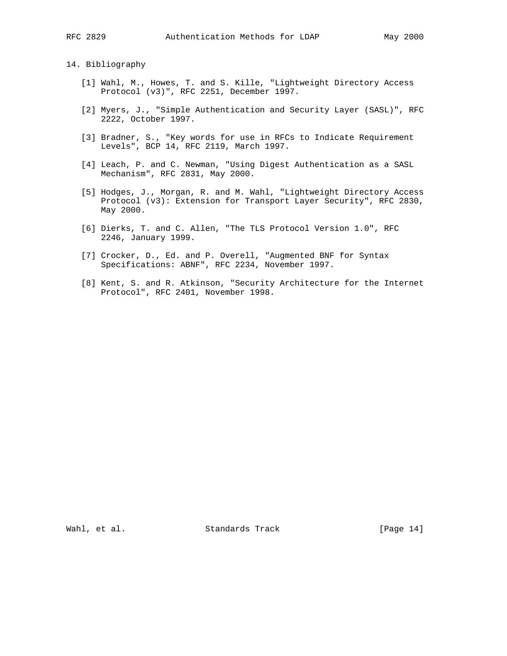# 14. Bibliography

- [1] Wahl, M., Howes, T. and S. Kille, "Lightweight Directory Access Protocol (v3)", RFC 2251, December 1997.
- [2] Myers, J., "Simple Authentication and Security Layer (SASL)", RFC 2222, October 1997.
- [3] Bradner, S., "Key words for use in RFCs to Indicate Requirement Levels", BCP 14, RFC 2119, March 1997.
- [4] Leach, P. and C. Newman, "Using Digest Authentication as a SASL Mechanism", RFC 2831, May 2000.
- [5] Hodges, J., Morgan, R. and M. Wahl, "Lightweight Directory Access Protocol (v3): Extension for Transport Layer Security", RFC 2830, May 2000.
- [6] Dierks, T. and C. Allen, "The TLS Protocol Version 1.0", RFC 2246, January 1999.
- [7] Crocker, D., Ed. and P. Overell, "Augmented BNF for Syntax Specifications: ABNF", RFC 2234, November 1997.
- [8] Kent, S. and R. Atkinson, "Security Architecture for the Internet Protocol", RFC 2401, November 1998.

Wahl, et al. Standards Track [Page 14]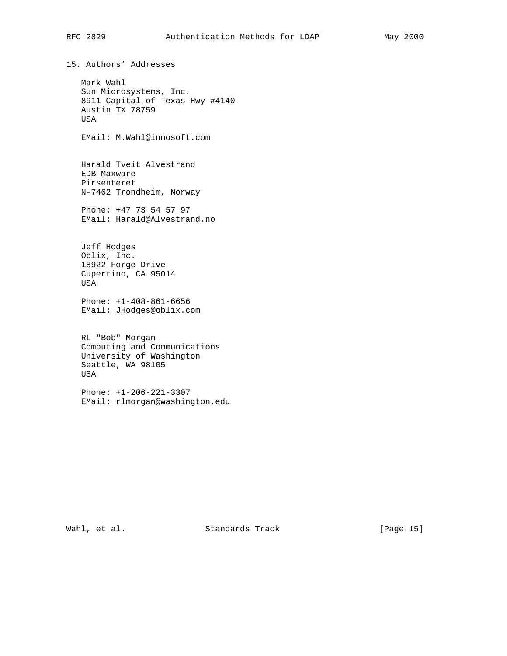# RFC 2829 Authentication Methods for LDAP May 2000

15. Authors' Addresses Mark Wahl Sun Microsystems, Inc. 8911 Capital of Texas Hwy #4140 Austin TX 78759 USA EMail: M.Wahl@innosoft.com Harald Tveit Alvestrand EDB Maxware Pirsenteret N-7462 Trondheim, Norway Phone: +47 73 54 57 97 EMail: Harald@Alvestrand.no Jeff Hodges Oblix, Inc. 18922 Forge Drive Cupertino, CA 95014 USA Phone: +1-408-861-6656 EMail: JHodges@oblix.com RL "Bob" Morgan Computing and Communications University of Washington Seattle, WA 98105 USA Phone: +1-206-221-3307 EMail: rlmorgan@washington.edu

Wahl, et al. Standards Track [Page 15]